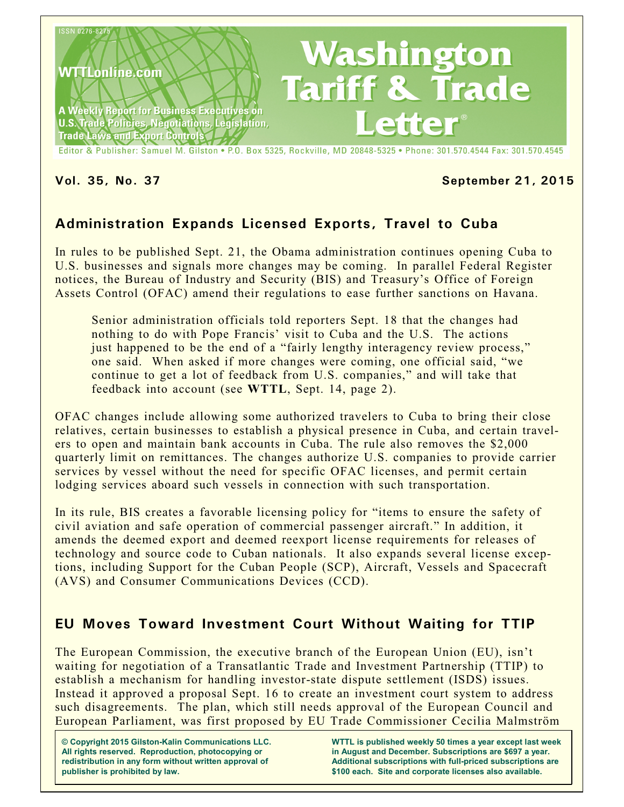

Editor & Publisher: Samuel M. Gilston . P.O. Box 5325, Rockville, MD 20848-5325 . Phone: 301.570.4544 Fax: 301.570.4545

#### **Vol. 35, No. 37 September 21, 2015**

# **Administration Expands Licensed Exports, Travel to Cuba**

In rules to be published Sept. 21, the Obama administration continues opening Cuba to U.S. businesses and signals more changes may be coming. In parallel Federal Register notices, the Bureau of Industry and Security (BIS) and Treasury's Office of Foreign Assets Control (OFAC) amend their regulations to ease further sanctions on Havana.

Senior administration officials told reporters Sept. 18 that the changes had nothing to do with Pope Francis' visit to Cuba and the U.S. The actions just happened to be the end of a "fairly lengthy interagency review process," one said. When asked if more changes were coming, one official said, "we continue to get a lot of feedback from U.S. companies," and will take that feedback into account (see **WTTL**, Sept. 14, page 2).

OFAC changes include allowing some authorized travelers to Cuba to bring their close relatives, certain businesses to establish a physical presence in Cuba, and certain travelers to open and maintain bank accounts in Cuba. The rule also removes the \$2,000 quarterly limit on remittances. The changes authorize U.S. companies to provide carrier services by vessel without the need for specific OFAC licenses, and permit certain lodging services aboard such vessels in connection with such transportation.

In its rule, BIS creates a favorable licensing policy for "items to ensure the safety of civil aviation and safe operation of commercial passenger aircraft." In addition, it amends the deemed export and deemed reexport license requirements for releases of technology and source code to Cuban nationals. It also expands several license exceptions, including Support for the Cuban People (SCP), Aircraft, Vessels and Spacecraft (AVS) and Consumer Communications Devices (CCD).

# **EU Moves Toward Investment Court Without Waiting for TTIP**

The European Commission, the executive branch of the European Union (EU), isn't waiting for negotiation of a Transatlantic Trade and Investment Partnership (TTIP) to establish a mechanism for handling investor-state dispute settlement (ISDS) issues. Instead it approved a proposal Sept. 16 to create an investment court system to address such disagreements. The plan, which still needs approval of the European Council and European Parliament, was first proposed by EU Trade Commissioner Cecilia Malmström

**© Copyright 2015 Gilston-Kalin Communications LLC. All rights reserved. Reproduction, photocopying or redistribution in any form without written approval of publisher is prohibited by law.** 

**WTTL is published weekly 50 times a year except last week in August and December. Subscriptions are \$697 a year. Additional subscriptions with full-priced subscriptions are \$100 each. Site and corporate licenses also available.**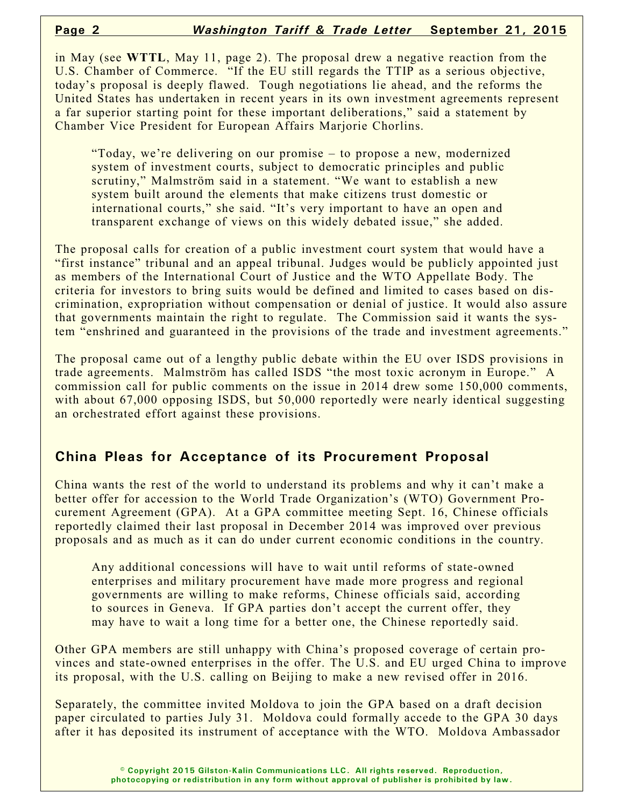in May (see **WTTL**, May 11, page 2). The proposal drew a negative reaction from the U.S. Chamber of Commerce. "If the EU still regards the TTIP as a serious objective, today's proposal is deeply flawed. Tough negotiations lie ahead, and the reforms the United States has undertaken in recent years in its own investment agreements represent a far superior starting point for these important deliberations," said a statement by Chamber Vice President for European Affairs Marjorie Chorlins.

"Today, we're delivering on our promise – to propose a new, modernized system of investment courts, subject to democratic principles and public scrutiny," Malmström said in a statement. "We want to establish a new system built around the elements that make citizens trust domestic or international courts," she said. "It's very important to have an open and transparent exchange of views on this widely debated issue," she added.

The proposal calls for creation of a public investment court system that would have a "first instance" tribunal and an appeal tribunal. Judges would be publicly appointed just as members of the International Court of Justice and the WTO Appellate Body. The criteria for investors to bring suits would be defined and limited to cases based on discrimination, expropriation without compensation or denial of justice. It would also assure that governments maintain the right to regulate. The Commission said it wants the system "enshrined and guaranteed in the provisions of the trade and investment agreements."

The proposal came out of a lengthy public debate within the EU over ISDS provisions in trade agreements. Malmström has called ISDS "the most toxic acronym in Europe." A commission call for public comments on the issue in 2014 drew some 150,000 comments, with about 67,000 opposing ISDS, but 50,000 reportedly were nearly identical suggesting an orchestrated effort against these provisions.

# **China Pleas for Acceptance of its Procurement Proposal**

China wants the rest of the world to understand its problems and why it can't make a better offer for accession to the World Trade Organization's (WTO) Government Procurement Agreement (GPA). At a GPA committee meeting Sept. 16, Chinese officials reportedly claimed their last proposal in December 2014 was improved over previous proposals and as much as it can do under current economic conditions in the country.

Any additional concessions will have to wait until reforms of state-owned enterprises and military procurement have made more progress and regional governments are willing to make reforms, Chinese officials said, according to sources in Geneva. If GPA parties don't accept the current offer, they may have to wait a long time for a better one, the Chinese reportedly said.

Other GPA members are still unhappy with China's proposed coverage of certain provinces and state-owned enterprises in the offer. The U.S. and EU urged China to improve its proposal, with the U.S. calling on Beijing to make a new revised offer in 2016.

Separately, the committee invited Moldova to join the GPA based on a draft decision paper circulated to parties July 31. Moldova could formally accede to the GPA 30 days after it has deposited its instrument of acceptance with the WTO. Moldova Ambassador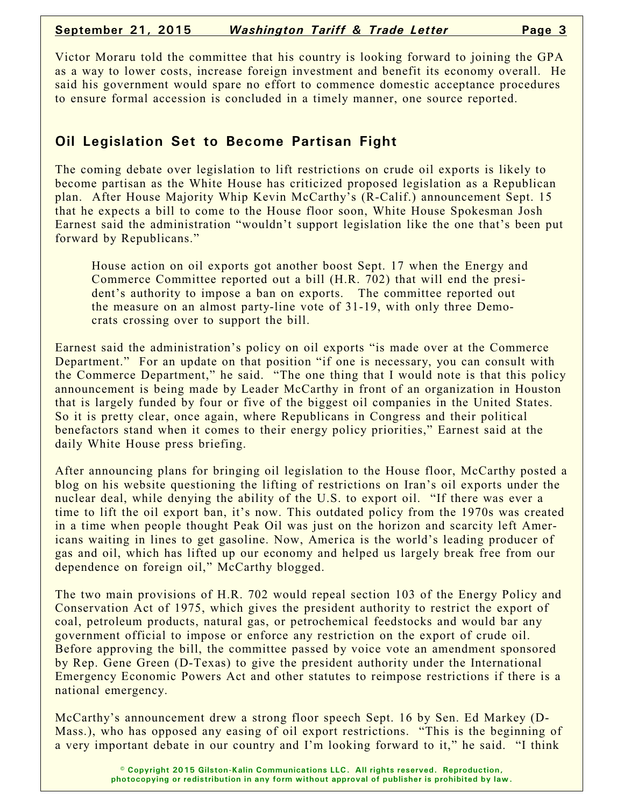Victor Moraru told the committee that his country is looking forward to joining the GPA as a way to lower costs, increase foreign investment and benefit its economy overall. He said his government would spare no effort to commence domestic acceptance procedures to ensure formal accession is concluded in a timely manner, one source reported.

### **Oil Legislation Set to Become Partisan Fight**

The coming debate over legislation to lift restrictions on crude oil exports is likely to become partisan as the White House has criticized proposed legislation as a Republican plan. After House Majority Whip Kevin McCarthy's (R-Calif.) announcement Sept. 15 that he expects a bill to come to the House floor soon, White House Spokesman Josh Earnest said the administration "wouldn't support legislation like the one that's been put forward by Republicans."

House action on oil exports got another boost Sept. 17 when the Energy and Commerce Committee reported out a bill (H.R. 702) that will end the president's authority to impose a ban on exports. The committee reported out the measure on an almost party-line vote of 31-19, with only three Democrats crossing over to support the bill.

Earnest said the administration's policy on oil exports "is made over at the Commerce Department." For an update on that position "if one is necessary, you can consult with the Commerce Department," he said. "The one thing that I would note is that this policy announcement is being made by Leader McCarthy in front of an organization in Houston that is largely funded by four or five of the biggest oil companies in the United States. So it is pretty clear, once again, where Republicans in Congress and their political benefactors stand when it comes to their energy policy priorities," Earnest said at the daily White House press briefing.

After announcing plans for bringing oil legislation to the House floor, McCarthy posted a blog on his website questioning the lifting of restrictions on Iran's oil exports under the nuclear deal, while denying the ability of the U.S. to export oil. "If there was ever a time to lift the oil export ban, it's now. This outdated policy from the 1970s was created in a time when people thought Peak Oil was just on the horizon and scarcity left Americans waiting in lines to get gasoline. Now, America is the world's leading producer of gas and oil, which has lifted up our economy and helped us largely break free from our dependence on foreign oil," McCarthy blogged.

The two main provisions of H.R. 702 would repeal section 103 of the Energy Policy and Conservation Act of 1975, which gives the president authority to restrict the export of coal, petroleum products, natural gas, or petrochemical feedstocks and would bar any government official to impose or enforce any restriction on the export of crude oil. Before approving the bill, the committee passed by voice vote an amendment sponsored by Rep. Gene Green (D-Texas) to give the president authority under the International Emergency Economic Powers Act and other statutes to reimpose restrictions if there is a national emergency.

McCarthy's announcement drew a strong floor speech Sept. 16 by Sen. Ed Markey (D-Mass.), who has opposed any easing of oil export restrictions. "This is the beginning of a very important debate in our country and I'm looking forward to it," he said. "I think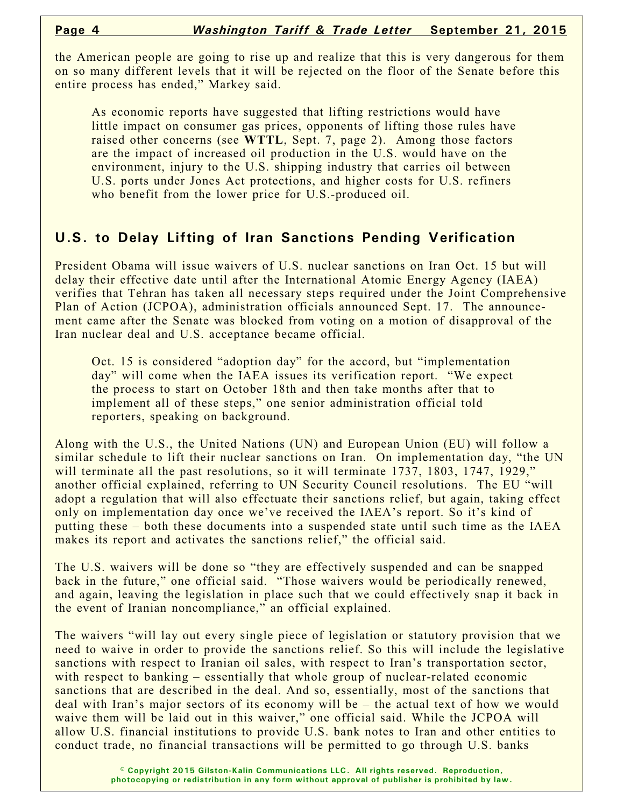the American people are going to rise up and realize that this is very dangerous for them on so many different levels that it will be rejected on the floor of the Senate before this entire process has ended," Markey said.

As economic reports have suggested that lifting restrictions would have little impact on consumer gas prices, opponents of lifting those rules have raised other concerns (see **WTTL**, Sept. 7, page 2). Among those factors are the impact of increased oil production in the U.S. would have on the environment, injury to the U.S. shipping industry that carries oil between U.S. ports under Jones Act protections, and higher costs for U.S. refiners who benefit from the lower price for U.S.-produced oil.

# **U.S. to Delay Lifting of Iran Sanctions Pending Verification**

President Obama will issue waivers of U.S. nuclear sanctions on Iran Oct. 15 but will delay their effective date until after the International Atomic Energy Agency (IAEA) verifies that Tehran has taken all necessary steps required under the Joint Comprehensive Plan of Action (JCPOA), administration officials announced Sept. 17. The announcement came after the Senate was blocked from voting on a motion of disapproval of the Iran nuclear deal and U.S. acceptance became official.

Oct. 15 is considered "adoption day" for the accord, but "implementation day" will come when the IAEA issues its verification report. "We expect the process to start on October 18th and then take months after that to implement all of these steps," one senior administration official told reporters, speaking on background.

Along with the U.S., the United Nations (UN) and European Union (EU) will follow a similar schedule to lift their nuclear sanctions on Iran. On implementation day, "the UN will terminate all the past resolutions, so it will terminate 1737, 1803, 1747, 1929," another official explained, referring to UN Security Council resolutions. The EU "will adopt a regulation that will also effectuate their sanctions relief, but again, taking effect only on implementation day once we've received the IAEA's report. So it's kind of putting these – both these documents into a suspended state until such time as the IAEA makes its report and activates the sanctions relief," the official said.

The U.S. waivers will be done so "they are effectively suspended and can be snapped back in the future," one official said. "Those waivers would be periodically renewed, and again, leaving the legislation in place such that we could effectively snap it back in the event of Iranian noncompliance," an official explained.

The waivers "will lay out every single piece of legislation or statutory provision that we need to waive in order to provide the sanctions relief. So this will include the legislative sanctions with respect to Iranian oil sales, with respect to Iran's transportation sector, with respect to banking – essentially that whole group of nuclear-related economic sanctions that are described in the deal. And so, essentially, most of the sanctions that deal with Iran's major sectors of its economy will be – the actual text of how we would waive them will be laid out in this waiver," one official said. While the JCPOA will allow U.S. financial institutions to provide U.S. bank notes to Iran and other entities to conduct trade, no financial transactions will be permitted to go through U.S. banks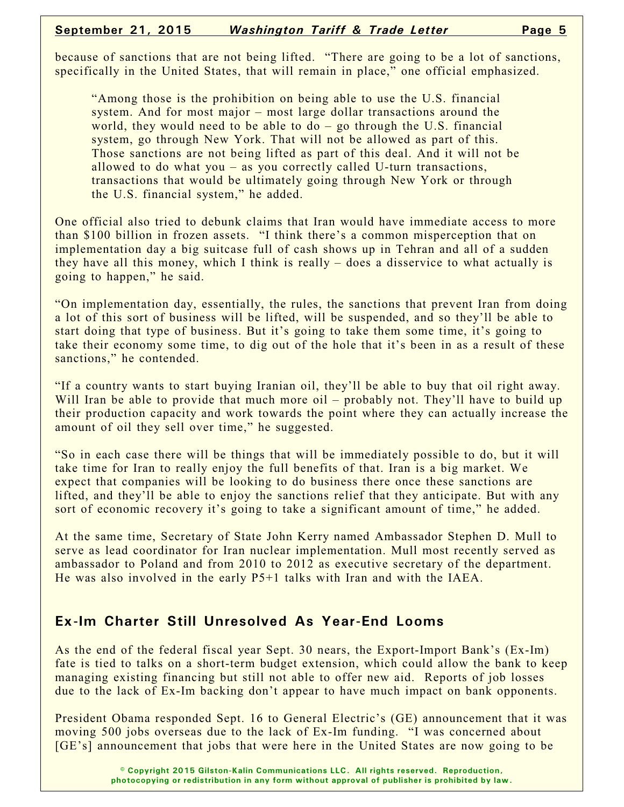because of sanctions that are not being lifted. "There are going to be a lot of sanctions, specifically in the United States, that will remain in place," one official emphasized.

"Among those is the prohibition on being able to use the U.S. financial system. And for most major – most large dollar transactions around the world, they would need to be able to do – go through the U.S. financial system, go through New York. That will not be allowed as part of this. Those sanctions are not being lifted as part of this deal. And it will not be allowed to do what you – as you correctly called U-turn transactions, transactions that would be ultimately going through New York or through the U.S. financial system," he added.

One official also tried to debunk claims that Iran would have immediate access to more than \$100 billion in frozen assets. "I think there's a common misperception that on implementation day a big suitcase full of cash shows up in Tehran and all of a sudden they have all this money, which I think is really – does a disservice to what actually is going to happen," he said.

"On implementation day, essentially, the rules, the sanctions that prevent Iran from doing a lot of this sort of business will be lifted, will be suspended, and so they'll be able to start doing that type of business. But it's going to take them some time, it's going to take their economy some time, to dig out of the hole that it's been in as a result of these sanctions," he contended.

"If a country wants to start buying Iranian oil, they'll be able to buy that oil right away. Will Iran be able to provide that much more oil – probably not. They'll have to build up their production capacity and work towards the point where they can actually increase the amount of oil they sell over time," he suggested.

"So in each case there will be things that will be immediately possible to do, but it will take time for Iran to really enjoy the full benefits of that. Iran is a big market. We expect that companies will be looking to do business there once these sanctions are lifted, and they'll be able to enjoy the sanctions relief that they anticipate. But with any sort of economic recovery it's going to take a significant amount of time," he added.

At the same time, Secretary of State John Kerry named Ambassador Stephen D. Mull to serve as lead coordinator for Iran nuclear implementation. Mull most recently served as ambassador to Poland and from 2010 to 2012 as executive secretary of the department. He was also involved in the early P5+1 talks with Iran and with the IAEA.

#### **Ex-Im Charter Still Unresolved As Year-End Looms**

As the end of the federal fiscal year Sept. 30 nears, the Export-Import Bank's (Ex-Im) fate is tied to talks on a short-term budget extension, which could allow the bank to keep managing existing financing but still not able to offer new aid. Reports of job losses due to the lack of Ex-Im backing don't appear to have much impact on bank opponents.

President Obama responded Sept. 16 to General Electric's (GE) announcement that it was moving 500 jobs overseas due to the lack of Ex-Im funding. "I was concerned about [GE's] announcement that jobs that were here in the United States are now going to be

> **© Copyright 2015 Gilston-Kalin Communications LLC. All rights reserved. Reproduction, photocopying or redistribution in any form without approval of publisher is prohibited by law.**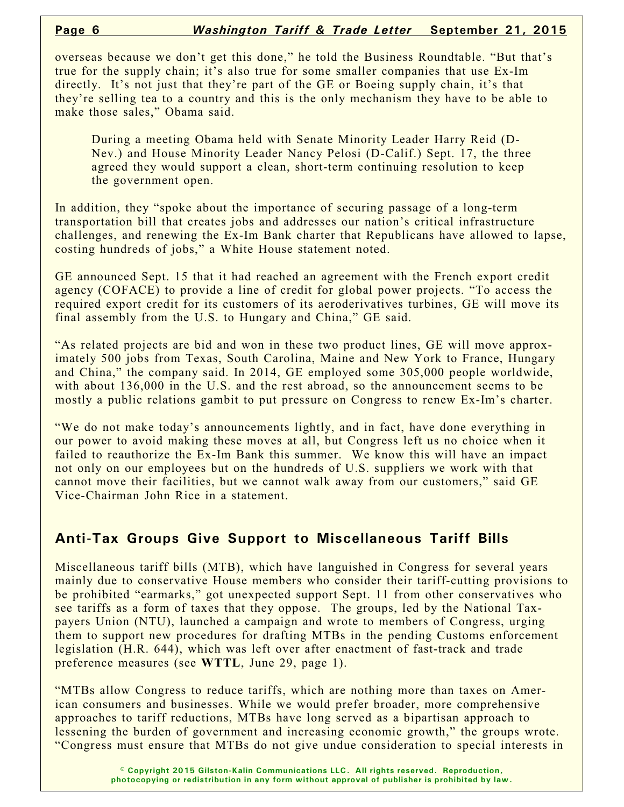overseas because we don't get this done," he told the Business Roundtable. "But that's true for the supply chain; it's also true for some smaller companies that use Ex-Im directly. It's not just that they're part of the GE or Boeing supply chain, it's that they're selling tea to a country and this is the only mechanism they have to be able to make those sales," Obama said.

During a meeting Obama held with Senate Minority Leader Harry Reid (D-Nev.) and House Minority Leader Nancy Pelosi (D-Calif.) Sept. 17, the three agreed they would support a clean, short-term continuing resolution to keep the government open.

In addition, they "spoke about the importance of securing passage of a long-term transportation bill that creates jobs and addresses our nation's critical infrastructure challenges, and renewing the Ex-Im Bank charter that Republicans have allowed to lapse, costing hundreds of jobs," a White House statement noted.

GE announced Sept. 15 that it had reached an agreement with the French export credit agency (COFACE) to provide a line of credit for global power projects. "To access the required export credit for its customers of its aeroderivatives turbines, GE will move its final assembly from the U.S. to Hungary and China," GE said.

"As related projects are bid and won in these two product lines, GE will move approximately 500 jobs from Texas, South Carolina, Maine and New York to France, Hungary and China," the company said. In 2014, GE employed some 305,000 people worldwide, with about 136,000 in the U.S. and the rest abroad, so the announcement seems to be mostly a public relations gambit to put pressure on Congress to renew Ex-Im's charter.

"We do not make today's announcements lightly, and in fact, have done everything in our power to avoid making these moves at all, but Congress left us no choice when it failed to reauthorize the Ex-Im Bank this summer. We know this will have an impact not only on our employees but on the hundreds of U.S. suppliers we work with that cannot move their facilities, but we cannot walk away from our customers," said GE Vice-Chairman John Rice in a statement.

# **Anti-Tax Groups Give Support to Miscellaneous Tariff Bills**

Miscellaneous tariff bills (MTB), which have languished in Congress for several years mainly due to conservative House members who consider their tariff-cutting provisions to be prohibited "earmarks," got unexpected support Sept. 11 from other conservatives who see tariffs as a form of taxes that they oppose. The groups, led by the National Taxpayers Union (NTU), launched a campaign and wrote to members of Congress, urging them to support new procedures for drafting MTBs in the pending Customs enforcement legislation (H.R. 644), which was left over after enactment of fast-track and trade preference measures (see **WTTL**, June 29, page 1).

"MTBs allow Congress to reduce tariffs, which are nothing more than taxes on American consumers and businesses. While we would prefer broader, more comprehensive approaches to tariff reductions, MTBs have long served as a bipartisan approach to lessening the burden of government and increasing economic growth," the groups wrote. "Congress must ensure that MTBs do not give undue consideration to special interests in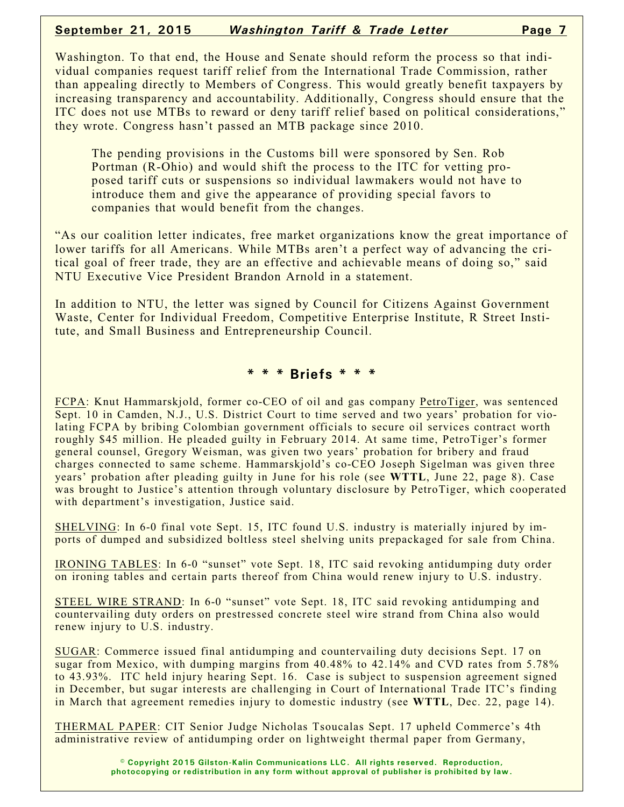Washington. To that end, the House and Senate should reform the process so that individual companies request tariff relief from the International Trade Commission, rather than appealing directly to Members of Congress. This would greatly benefit taxpayers by increasing transparency and accountability. Additionally, Congress should ensure that the ITC does not use MTBs to reward or deny tariff relief based on political considerations," they wrote. Congress hasn't passed an MTB package since 2010.

The pending provisions in the Customs bill were sponsored by Sen. Rob Portman (R-Ohio) and would shift the process to the ITC for vetting proposed tariff cuts or suspensions so individual lawmakers would not have to introduce them and give the appearance of providing special favors to companies that would benefit from the changes.

"As our coalition letter indicates, free market organizations know the great importance of lower tariffs for all Americans. While MTBs aren't a perfect way of advancing the critical goal of freer trade, they are an effective and achievable means of doing so," said NTU Executive Vice President Brandon Arnold in a statement.

In addition to NTU, the letter was signed by Council for Citizens Against Government Waste, Center for Individual Freedom, Competitive Enterprise Institute, R Street Institute, and Small Business and Entrepreneurship Council.

**\* \* \* Briefs \* \* \***

FCPA: Knut Hammarskjold, former co-CEO of oil and gas company PetroTiger, was sentenced Sept. 10 in Camden, N.J., U.S. District Court to time served and two years' probation for violating FCPA by bribing Colombian government officials to secure oil services contract worth roughly \$45 million. He pleaded guilty in February 2014. At same time, PetroTiger's former general counsel, Gregory Weisman, was given two years' probation for bribery and fraud charges connected to same scheme. Hammarskjold's co-CEO Joseph Sigelman was given three years' probation after pleading guilty in June for his role (see **WTTL**, June 22, page 8). Case was brought to Justice's attention through voluntary disclosure by PetroTiger, which cooperated with department's investigation, Justice said.

SHELVING: In 6-0 final vote Sept. 15, ITC found U.S. industry is materially injured by imports of dumped and subsidized boltless steel shelving units prepackaged for sale from China.

IRONING TABLES: In 6-0 "sunset" vote Sept. 18, ITC said revoking antidumping duty order on ironing tables and certain parts thereof from China would renew injury to U.S. industry.

STEEL WIRE STRAND: In 6-0 "sunset" vote Sept. 18, ITC said revoking antidumping and countervailing duty orders on prestressed concrete steel wire strand from China also would renew injury to U.S. industry.

SUGAR: Commerce issued final antidumping and countervailing duty decisions Sept. 17 on sugar from Mexico, with dumping margins from 40.48% to 42.14% and CVD rates from 5.78% to 43.93%. ITC held injury hearing Sept. 16. Case is subject to suspension agreement signed in December, but sugar interests are challenging in Court of International Trade ITC's finding in March that agreement remedies injury to domestic industry (see **WTTL**, Dec. 22, page 14).

THERMAL PAPER: CIT Senior Judge Nicholas Tsoucalas Sept. 17 upheld Commerce's 4th administrative review of antidumping order on lightweight thermal paper from Germany,

> **© Copyright 2015 Gilston-Kalin Communications LLC. All rights reserved. Reproduction, photocopying or redistribution in any form without approval of publisher is prohibited by law.**